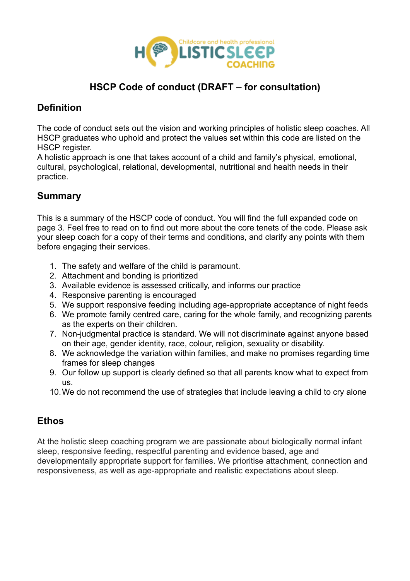

# **HSCP Code of conduct (DRAFT – for consultation)**

# **Definition**

The code of conduct sets out the vision and working principles of holistic sleep coaches. All HSCP graduates who uphold and protect the values set within this code are listed on the HSCP register.

A holistic approach is one that takes account of a child and family's physical, emotional, cultural, psychological, relational, developmental, nutritional and health needs in their practice.

### **Summary**

This is a summary of the HSCP code of conduct. You will find the full expanded code on page 3. Feel free to read on to find out more about the core tenets of the code. Please ask your sleep coach for a copy of their terms and conditions, and clarify any points with them before engaging their services.

- 1. The safety and welfare of the child is paramount.
- 2. Attachment and bonding is prioritized
- 3. Available evidence is assessed critically, and informs our practice
- 4. Responsive parenting is encouraged
- 5. We support responsive feeding including age-appropriate acceptance of night feeds
- 6. We promote family centred care, caring for the whole family, and recognizing parents as the experts on their children.
- 7. Non-judgmental practice is standard. We will not discriminate against anyone based on their age, gender identity, race, colour, religion, sexuality or disability.
- 8. We acknowledge the variation within families, and make no promises regarding time frames for sleep changes
- 9. Our follow up support is clearly defined so that all parents know what to expect from us.
- 10.We do not recommend the use of strategies that include leaving a child to cry alone

## **Ethos**

At the holistic sleep coaching program we are passionate about biologically normal infant sleep, responsive feeding, respectful parenting and evidence based, age and developmentally appropriate support for families. We prioritise attachment, connection and responsiveness, as well as age-appropriate and realistic expectations about sleep.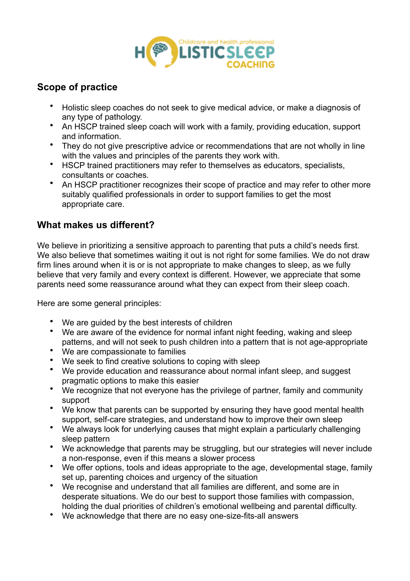

## **Scope of practice**

- Holistic sleep coaches do not seek to give medical advice, or make a diagnosis of any type of pathology.
- An HSCP trained sleep coach will work with a family, providing education, support and information.
- They do not give prescriptive advice or recommendations that are not wholly in line with the values and principles of the parents they work with.
- HSCP trained practitioners may refer to themselves as educators, specialists, consultants or coaches.
- An HSCP practitioner recognizes their scope of practice and may refer to other more suitably qualified professionals in order to support families to get the most appropriate care.

### **What makes us different?**

We believe in prioritizing a sensitive approach to parenting that puts a child's needs first. We also believe that sometimes waiting it out is not right for some families. We do not draw firm lines around when it is or is not appropriate to make changes to sleep, as we fully believe that very family and every context is different. However, we appreciate that some parents need some reassurance around what they can expect from their sleep coach.

Here are some general principles:

- We are guided by the best interests of children
- We are aware of the evidence for normal infant night feeding, waking and sleep patterns, and will not seek to push children into a pattern that is not age-appropriate
- We are compassionate to families
- We seek to find creative solutions to coping with sleep
- We provide education and reassurance about normal infant sleep, and suggest pragmatic options to make this easier
- We recognize that not everyone has the privilege of partner, family and community support
- We know that parents can be supported by ensuring they have good mental health support, self-care strategies, and understand how to improve their own sleep
- We always look for underlying causes that might explain a particularly challenging sleep pattern
- We acknowledge that parents may be struggling, but our strategies will never include a non-response, even if this means a slower process
- We offer options, tools and ideas appropriate to the age, developmental stage, family set up, parenting choices and urgency of the situation
- We recognise and understand that all families are different, and some are in desperate situations. We do our best to support those families with compassion, holding the dual priorities of children's emotional wellbeing and parental difficulty.
- We acknowledge that there are no easy one-size-fits-all answers